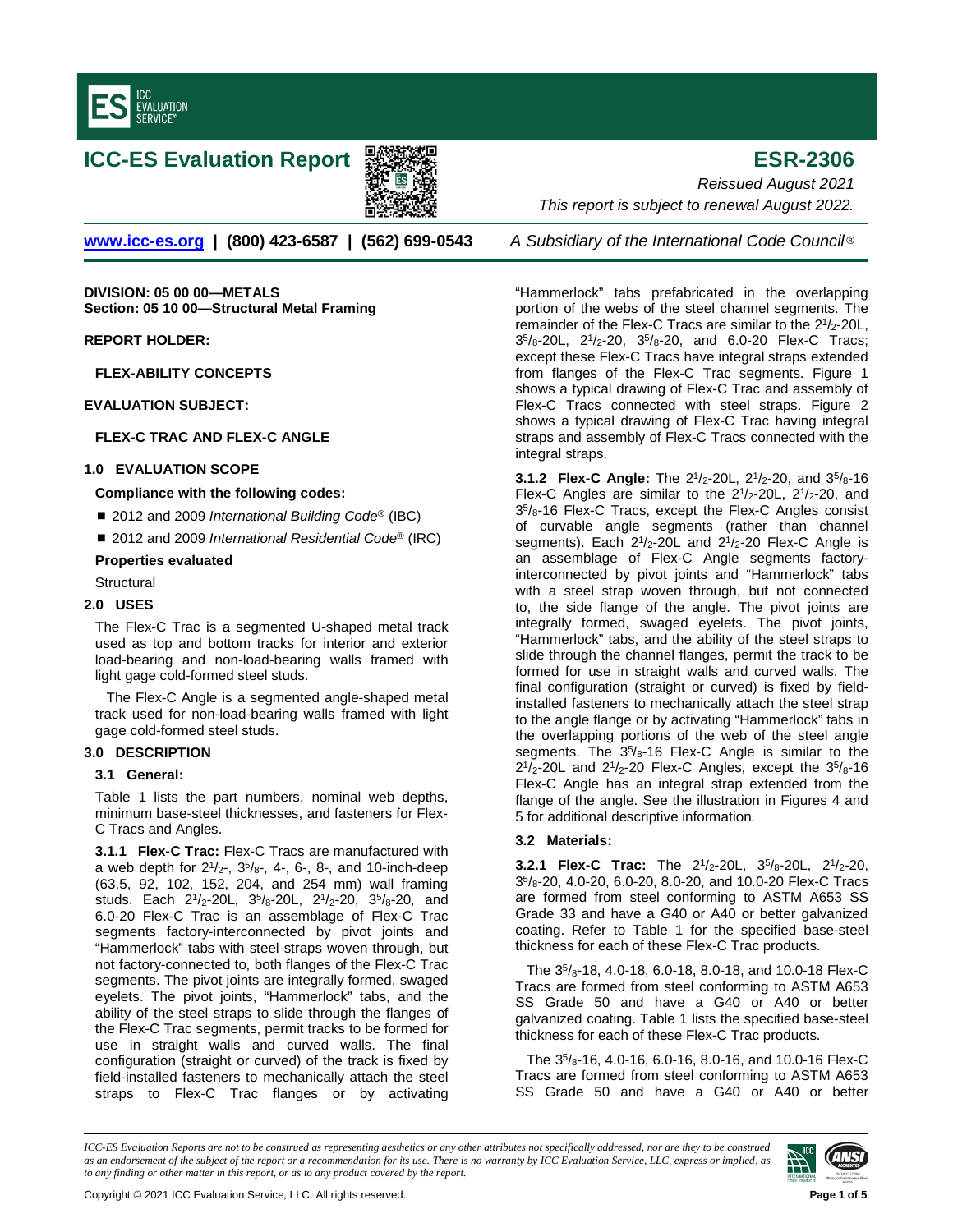





**[www.icc-es.org](http://www.icc-es.org/) | (800) 423-6587 | (562) 699-0543** *A Subsidiary of the International Code Council* ®

**DIVISION: 05 00 00—METALS Section: 05 10 00—Structural Metal Framing**

**REPORT HOLDER:**

**FLEX-ABILITY CONCEPTS**

**EVALUATION SUBJECT:** 

**FLEX-C TRAC AND FLEX-C ANGLE**

## **1.0 EVALUATION SCOPE**

### **Compliance with the following codes:**

■ 2012 and 2009 *International Building Code*<sup>®</sup> (IBC)

■ 2012 and 2009 *International Residential Code®* (IRC)

### **Properties evaluated**

**Structural** 

## **2.0 USES**

The Flex-C Trac is a segmented U-shaped metal track used as top and bottom tracks for interior and exterior load-bearing and non-load-bearing walls framed with light gage cold-formed steel studs.

The Flex-C Angle is a segmented angle-shaped metal track used for non-load-bearing walls framed with light gage cold-formed steel studs.

# **3.0 DESCRIPTION**

### **3.1 General:**

Table 1 lists the part numbers, nominal web depths, minimum base-steel thicknesses, and fasteners for Flex-C Tracs and Angles.

**3.1.1 Flex-C Trac:** Flex-C Tracs are manufactured with a web depth for  $2^{1}/_{2}$ -,  $3^{5}/_{8}$ -, 4-, 6-, 8-, and 10-inch-deep (63.5, 92, 102, 152, 204, and 254 mm) wall framing studs. Each 21/2-20L, 35/8-20L, 21/2-20, 35/8-20, and 6.0-20 Flex-C Trac is an assemblage of Flex-C Trac segments factory-interconnected by pivot joints and "Hammerlock" tabs with steel straps woven through, but not factory-connected to, both flanges of the Flex-C Trac segments. The pivot joints are integrally formed, swaged eyelets. The pivot joints, "Hammerlock" tabs, and the ability of the steel straps to slide through the flanges of the Flex-C Trac segments, permit tracks to be formed for use in straight walls and curved walls. The final configuration (straight or curved) of the track is fixed by field-installed fasteners to mechanically attach the steel straps to Flex-C Trac flanges or by activating

*Reissued August 2021 This report is subject to renewal August 2022.* 

"Hammerlock" tabs prefabricated in the overlapping portion of the webs of the steel channel segments. The remainder of the Flex-C Tracs are similar to the 21/2-20L, 35/8-20L, 21/2-20, 35/8-20, and 6.0-20 Flex-C Tracs; except these Flex-C Tracs have integral straps extended from flanges of the Flex-C Trac segments. Figure 1 shows a typical drawing of Flex-C Trac and assembly of Flex-C Tracs connected with steel straps. Figure 2 shows a typical drawing of Flex-C Trac having integral straps and assembly of Flex-C Tracs connected with the integral straps.

**3.1.2 Flex-C Angle:** The 21/2-20L, 21/2-20, and 35/8-16 Flex-C Angles are similar to the  $2\frac{1}{2}$ -20L,  $2\frac{1}{2}$ -20, and 35/8-16 Flex-C Tracs, except the Flex-C Angles consist of curvable angle segments (rather than channel segments). Each  $2^{1}/2$ -20L and  $2^{1}/2$ -20 Flex-C Angle is an assemblage of Flex-C Angle segments factoryinterconnected by pivot joints and "Hammerlock" tabs with a steel strap woven through, but not connected to, the side flange of the angle. The pivot joints are integrally formed, swaged eyelets. The pivot joints, "Hammerlock" tabs, and the ability of the steel straps to slide through the channel flanges, permit the track to be formed for use in straight walls and curved walls. The final configuration (straight or curved) is fixed by fieldinstalled fasteners to mechanically attach the steel strap to the angle flange or by activating "Hammerlock" tabs in the overlapping portions of the web of the steel angle segments. The  $35/8$ -16 Flex-C Angle is similar to the  $2^{1}/_{2}$ -20L and  $2^{1}/_{2}$ -20 Flex-C Angles, except the  $3^{5}/_{8}$ -16 Flex-C Angle has an integral strap extended from the flange of the angle. See the illustration in Figures 4 and 5 for additional descriptive information.

## **3.2 Materials:**

**3.2.1 Flex-C Trac:** The 21/2-20L, 35/8-20L, 21/2-20, 35/8-20, 4.0-20, 6.0-20, 8.0-20, and 10.0-20 Flex-C Tracs are formed from steel conforming to ASTM A653 SS Grade 33 and have a G40 or A40 or better galvanized coating. Refer to Table 1 for the specified base-steel thickness for each of these Flex-C Trac products.

The 35/8-18, 4.0-18, 6.0-18, 8.0-18, and 10.0-18 Flex-C Tracs are formed from steel conforming to ASTM A653 SS Grade 50 and have a G40 or A40 or better galvanized coating. Table 1 lists the specified base-steel thickness for each of these Flex-C Trac products.

The 35/8-16, 4.0-16, 6.0-16, 8.0-16, and 10.0-16 Flex-C Tracs are formed from steel conforming to ASTM A653 SS Grade 50 and have a G40 or A40 or better

*ICC-ES Evaluation Reports are not to be construed as representing aesthetics or any other attributes not specifically addressed, nor are they to be construed as an endorsement of the subject of the report or a recommendation for its use. There is no warranty by ICC Evaluation Service, LLC, express or implied, as to any finding or other matter in this report, or as to any product covered by the report.*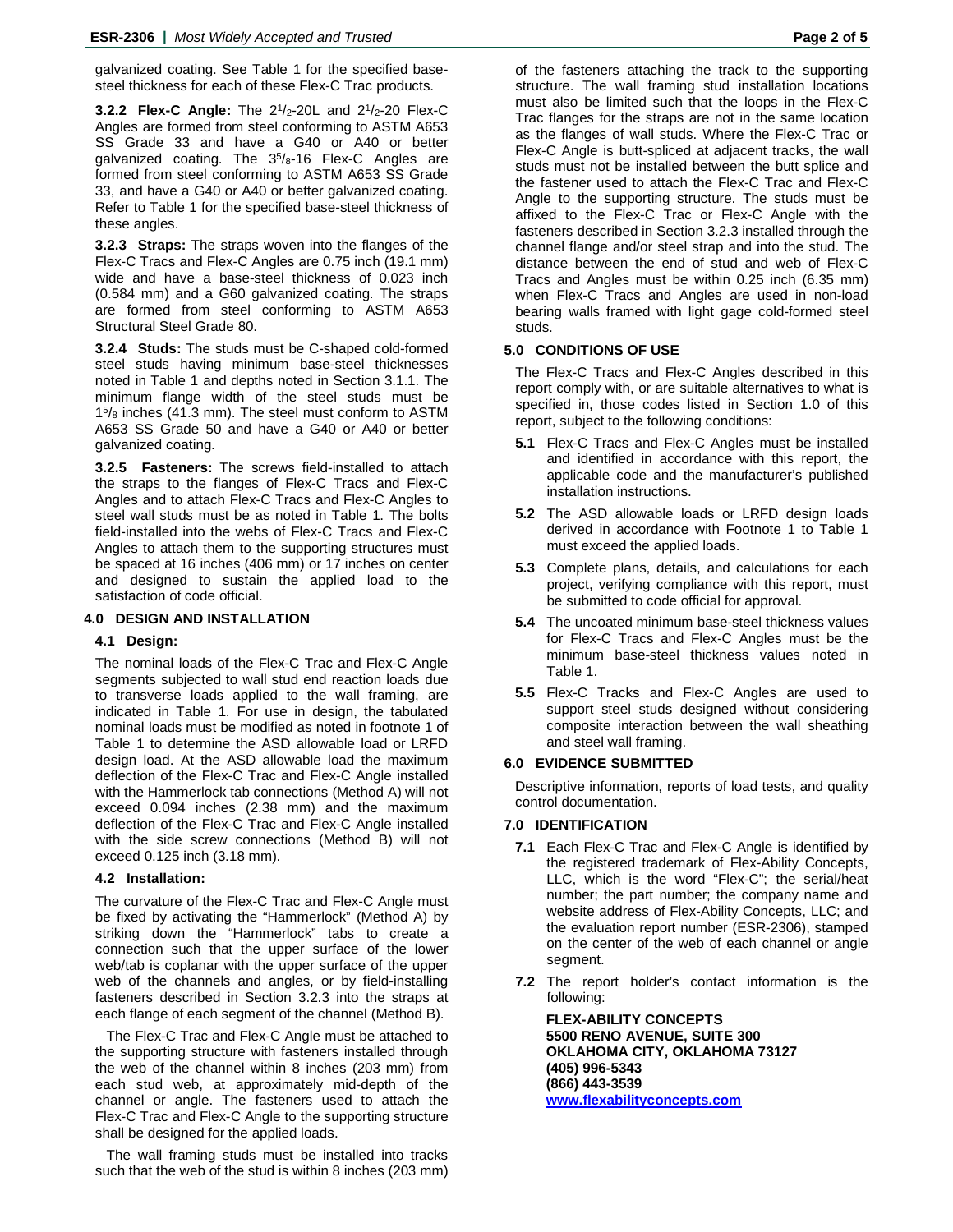galvanized coating. See Table 1 for the specified basesteel thickness for each of these Flex-C Trac products.

**3.2.2 Flex-C Angle:** The 21/2-20L and 21/2-20 Flex-C Angles are formed from steel conforming to ASTM A653 SS Grade 33 and have a G40 or A40 or better galvanized coating. The 35/8-16 Flex-C Angles are formed from steel conforming to ASTM A653 SS Grade 33, and have a G40 or A40 or better galvanized coating. Refer to Table 1 for the specified base-steel thickness of these angles.

**3.2.3 Straps:** The straps woven into the flanges of the Flex-C Tracs and Flex-C Angles are 0.75 inch (19.1 mm) wide and have a base-steel thickness of 0.023 inch (0.584 mm) and a G60 galvanized coating. The straps are formed from steel conforming to ASTM A653 Structural Steel Grade 80.

**3.2.4 Studs:** The studs must be C-shaped cold-formed steel studs having minimum base-steel thicknesses noted in Table 1 and depths noted in Section 3.1.1. The minimum flange width of the steel studs must be  $15\frac{15}{8}$  inches (41.3 mm). The steel must conform to ASTM A653 SS Grade 50 and have a G40 or A40 or better galvanized coating.

**3.2.5 Fasteners:** The screws field-installed to attach the straps to the flanges of Flex-C Tracs and Flex-C Angles and to attach Flex-C Tracs and Flex-C Angles to steel wall studs must be as noted in Table 1. The bolts field-installed into the webs of Flex-C Tracs and Flex-C Angles to attach them to the supporting structures must be spaced at 16 inches (406 mm) or 17 inches on center and designed to sustain the applied load to the satisfaction of code official.

# **4.0 DESIGN AND INSTALLATION**

### **4.1 Design:**

The nominal loads of the Flex-C Trac and Flex-C Angle segments subjected to wall stud end reaction loads due to transverse loads applied to the wall framing, are indicated in Table 1. For use in design, the tabulated nominal loads must be modified as noted in footnote 1 of Table 1 to determine the ASD allowable load or LRFD design load. At the ASD allowable load the maximum deflection of the Flex-C Trac and Flex-C Angle installed with the Hammerlock tab connections (Method A) will not exceed 0.094 inches (2.38 mm) and the maximum deflection of the Flex-C Trac and Flex-C Angle installed with the side screw connections (Method B) will not exceed 0.125 inch (3.18 mm).

### **4.2 Installation:**

The curvature of the Flex-C Trac and Flex-C Angle must be fixed by activating the "Hammerlock" (Method A) by striking down the "Hammerlock" tabs to create a connection such that the upper surface of the lower web/tab is coplanar with the upper surface of the upper web of the channels and angles, or by field-installing fasteners described in Section 3.2.3 into the straps at each flange of each segment of the channel (Method B).

The Flex-C Trac and Flex-C Angle must be attached to the supporting structure with fasteners installed through the web of the channel within 8 inches (203 mm) from each stud web, at approximately mid-depth of the channel or angle. The fasteners used to attach the Flex-C Trac and Flex-C Angle to the supporting structure shall be designed for the applied loads.

The wall framing studs must be installed into tracks such that the web of the stud is within 8 inches (203 mm) of the fasteners attaching the track to the supporting structure. The wall framing stud installation locations must also be limited such that the loops in the Flex-C Trac flanges for the straps are not in the same location as the flanges of wall studs. Where the Flex-C Trac or Flex-C Angle is butt-spliced at adjacent tracks, the wall studs must not be installed between the butt splice and the fastener used to attach the Flex-C Trac and Flex-C Angle to the supporting structure. The studs must be affixed to the Flex-C Trac or Flex-C Angle with the fasteners described in Section 3.2.3 installed through the channel flange and/or steel strap and into the stud. The distance between the end of stud and web of Flex-C Tracs and Angles must be within 0.25 inch (6.35 mm) when Flex-C Tracs and Angles are used in non-load bearing walls framed with light gage cold-formed steel studs.

#### **5.0 CONDITIONS OF USE**

The Flex-C Tracs and Flex-C Angles described in this report comply with, or are suitable alternatives to what is specified in, those codes listed in Section 1.0 of this report, subject to the following conditions:

- **5.1** Flex-C Tracs and Flex-C Angles must be installed and identified in accordance with this report, the applicable code and the manufacturer's published installation instructions.
- **5.2** The ASD allowable loads or LRFD design loads derived in accordance with Footnote 1 to Table 1 must exceed the applied loads.
- **5.3** Complete plans, details, and calculations for each project, verifying compliance with this report, must be submitted to code official for approval.
- **5.4** The uncoated minimum base-steel thickness values for Flex-C Tracs and Flex-C Angles must be the minimum base-steel thickness values noted in Table 1.
- **5.5** Flex-C Tracks and Flex-C Angles are used to support steel studs designed without considering composite interaction between the wall sheathing and steel wall framing.

### **6.0 EVIDENCE SUBMITTED**

Descriptive information, reports of load tests, and quality control documentation.

### **7.0 IDENTIFICATION**

- **7.1** Each Flex-C Trac and Flex-C Angle is identified by the registered trademark of Flex-Ability Concepts, LLC, which is the word "Flex-C"; the serial/heat number; the part number; the company name and website address of Flex-Ability Concepts, LLC; and the evaluation report number (ESR-2306), stamped on the center of the web of each channel or angle segment.
- **7.2** The report holder's contact information is the following:

**FLEX-ABILITY CONCEPTS 5500 RENO AVENUE, SUITE 300 OKLAHOMA CITY, OKLAHOMA 73127 (405) 996-5343 (866) 443-3539 [www.flexabilityconcepts.com](http://www.flexabilityconcepts.com/)**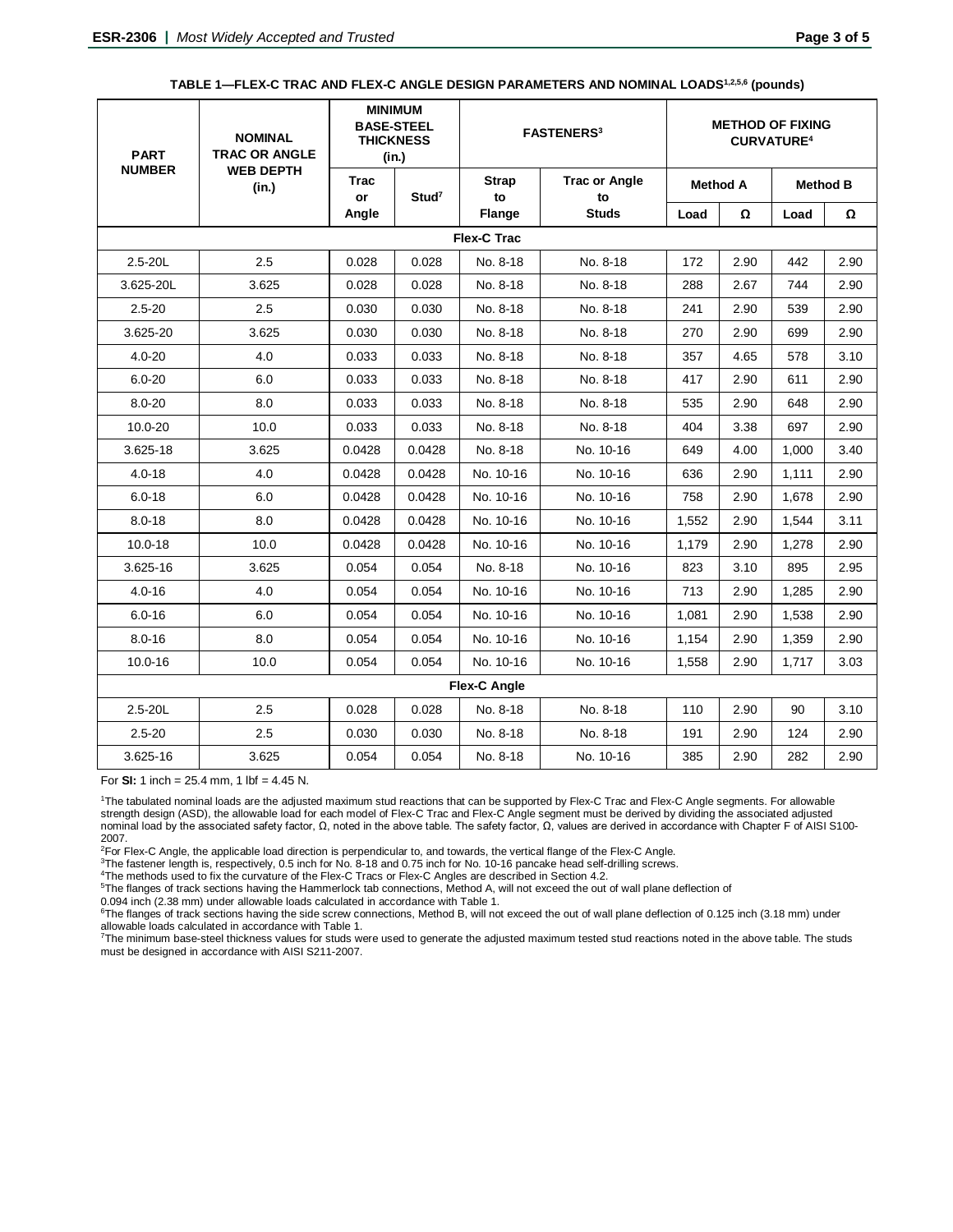| TABLE 1—FLEX-C TRAC AND FLEX-C ANGLE DESIGN PARAMETERS AND NOMINAL LOADS1.2.5.6 (pounds) |  |  |  |  |  |
|------------------------------------------------------------------------------------------|--|--|--|--|--|
|------------------------------------------------------------------------------------------|--|--|--|--|--|

| <b>PART</b>   | <b>NOMINAL</b><br><b>TRAC OR ANGLE</b><br><b>WEB DEPTH</b><br>(in.) | <b>MINIMUM</b><br><b>BASE-STEEL</b><br><b>THICKNESS</b><br>(in.) |                   | <b>FASTENERS<sup>3</sup></b> |                            | <b>METHOD OF FIXING</b><br><b>CURVATURE4</b> |                 |                 |      |  |  |  |  |
|---------------|---------------------------------------------------------------------|------------------------------------------------------------------|-------------------|------------------------------|----------------------------|----------------------------------------------|-----------------|-----------------|------|--|--|--|--|
| <b>NUMBER</b> |                                                                     | Trac<br>or                                                       | Stud <sup>7</sup> | <b>Strap</b><br>to           | <b>Trac or Angle</b><br>to |                                              | <b>Method A</b> | <b>Method B</b> |      |  |  |  |  |
|               |                                                                     | Angle                                                            |                   | Flange                       | <b>Studs</b>               | Load                                         | Ω               | Load            | Ω    |  |  |  |  |
| Flex-C Trac   |                                                                     |                                                                  |                   |                              |                            |                                              |                 |                 |      |  |  |  |  |
| $2.5 - 20L$   | 2.5                                                                 | 0.028                                                            | 0.028             | No. 8-18                     | No. 8-18                   | 172                                          | 2.90            | 442             | 2.90 |  |  |  |  |
| 3.625-20L     | 3.625                                                               | 0.028                                                            | 0.028             | No. 8-18                     | No. 8-18                   | 288                                          | 2.67            | 744             | 2.90 |  |  |  |  |
| $2.5 - 20$    | 2.5                                                                 | 0.030                                                            | 0.030             | No. 8-18                     | No. 8-18                   | 241                                          | 2.90            | 539             | 2.90 |  |  |  |  |
| 3.625-20      | 3.625                                                               | 0.030                                                            | 0.030             | No. 8-18                     | No. 8-18                   | 270                                          | 2.90            | 699             | 2.90 |  |  |  |  |
| $4.0 - 20$    | 4.0                                                                 | 0.033                                                            | 0.033             | No. 8-18                     | No. 8-18                   | 357                                          | 4.65            | 578             | 3.10 |  |  |  |  |
| $6.0 - 20$    | 6.0                                                                 | 0.033                                                            | 0.033             | No. 8-18                     | No. 8-18                   | 417                                          | 2.90            | 611             | 2.90 |  |  |  |  |
| $8.0 - 20$    | 8.0                                                                 | 0.033                                                            | 0.033             | No. 8-18                     | No. 8-18                   | 535                                          | 2.90            | 648             | 2.90 |  |  |  |  |
| $10.0 - 20$   | 10.0                                                                | 0.033                                                            | 0.033             | No. 8-18                     | No. 8-18                   | 404                                          | 3.38            | 697             | 2.90 |  |  |  |  |
| 3.625-18      | 3.625                                                               | 0.0428                                                           | 0.0428            | No. 8-18                     | No. 10-16                  | 649                                          | 4.00            | 1,000           | 3.40 |  |  |  |  |
| $4.0 - 18$    | 4.0                                                                 | 0.0428                                                           | 0.0428            | No. 10-16                    | No. 10-16                  | 636                                          | 2.90            | 1.111           | 2.90 |  |  |  |  |
| $6.0 - 18$    | 6.0                                                                 | 0.0428                                                           | 0.0428            | No. 10-16                    | No. 10-16                  | 758                                          | 2.90            | 1,678           | 2.90 |  |  |  |  |
| $8.0 - 18$    | 8.0                                                                 | 0.0428                                                           | 0.0428            | No. 10-16                    | No. 10-16                  | 1,552                                        | 2.90            | 1.544           | 3.11 |  |  |  |  |
| $10.0 - 18$   | 10.0                                                                | 0.0428                                                           | 0.0428            | No. 10-16                    | No. 10-16                  | 1,179                                        | 2.90            | 1,278           | 2.90 |  |  |  |  |
| 3.625-16      | 3.625                                                               | 0.054                                                            | 0.054             | No. 8-18                     | No. 10-16                  | 823                                          | 3.10            | 895             | 2.95 |  |  |  |  |
| $4.0 - 16$    | 4.0                                                                 | 0.054                                                            | 0.054             | No. 10-16                    | No. 10-16                  | 713                                          | 2.90            | 1,285           | 2.90 |  |  |  |  |
| $6.0 - 16$    | 6.0                                                                 | 0.054                                                            | 0.054             | No. 10-16                    | No. 10-16                  | 1,081                                        | 2.90            | 1,538           | 2.90 |  |  |  |  |
| $8.0 - 16$    | 8.0                                                                 | 0.054                                                            | 0.054             | No. 10-16                    | No. 10-16                  | 1,154                                        | 2.90            | 1,359           | 2.90 |  |  |  |  |
| $10.0 - 16$   | 10.0                                                                | 0.054                                                            | 0.054             | No. 10-16                    | No. 10-16                  | 1,558                                        | 2.90            | 1,717           | 3.03 |  |  |  |  |
|               | <b>Flex-C Angle</b>                                                 |                                                                  |                   |                              |                            |                                              |                 |                 |      |  |  |  |  |
| $2.5 - 20L$   | 2.5                                                                 | 0.028                                                            | 0.028             | No. 8-18                     | No. 8-18                   | 110                                          | 2.90            | 90              | 3.10 |  |  |  |  |
| $2.5 - 20$    | 2.5                                                                 | 0.030                                                            | 0.030             | No. 8-18                     | No. 8-18                   | 191                                          | 2.90            | 124             | 2.90 |  |  |  |  |
| 3.625-16      | 3.625                                                               | 0.054                                                            | 0.054             | No. 8-18                     | No. 10-16                  | 385                                          | 2.90            | 282             | 2.90 |  |  |  |  |

For **SI:** 1 inch =  $25.4$  mm, 1 lbf =  $4.45$  N.

1The tabulated nominal loads are the adjusted maximum stud reactions that can be supported by Flex-C Trac and Flex-C Angle segments. For allowable strength design (ASD), the allowable load for each model of Flex-C Trac and Flex-C Angle segment must be derived by dividing the associated adjusted nominal load by the associated safety factor, Ω, noted in the above table. The safety factor, Ω, values are derived in accordance with Chapter F of AISI S100- 2007.

2For Flex-C Angle, the applicable load direction is perpendicular to, and towards, the vertical flange of the Flex-C Angle.

<sup>3</sup>The fastener length is, respectively, 0.5 inch for No. 8-18 and 0.75 inch for No. 10-16 pancake head self-drilling screws.<br><sup>4</sup>The methods used to fix the curvature of the Flex-C Tracs or Flex-C Angles are described in S

5 The flanges of track sections having the Hammerlock tab connections, Method A, will not exceed the out of wall plane deflection of

0.094 inch (2.38 mm) under allowable loads calculated in accordance with Table 1.

<sup>6</sup>The flanges of track sections having the side screw connections, Method B, will not exceed the out of wall plane deflection of 0.125 inch (3.18 mm) under allowable loads calculated in accordance with Table 1.

7 The minimum base-steel thickness values for studs were used to generate the adjusted maximum tested stud reactions noted in the above table. The studs must be designed in accordance with AISI S211-2007.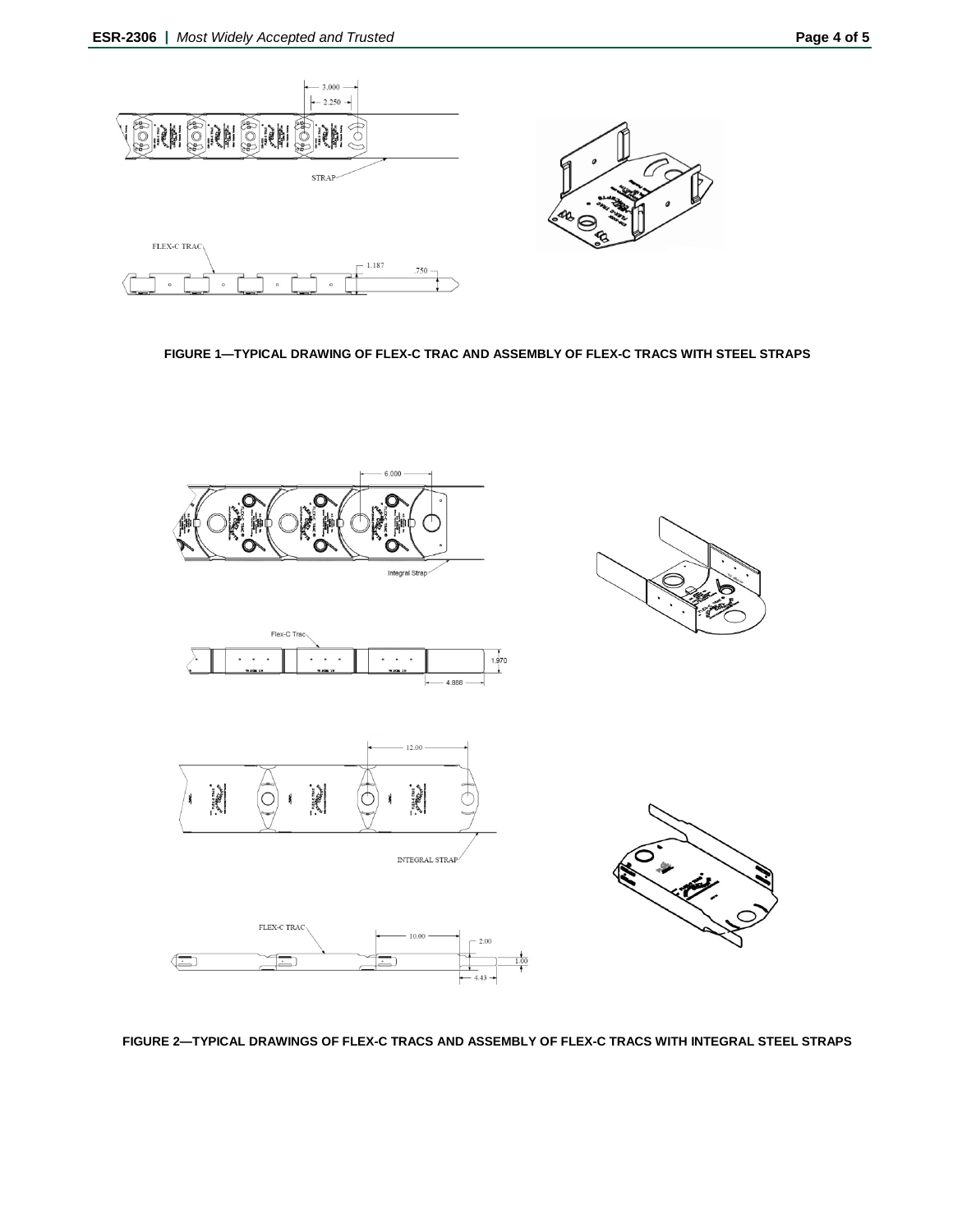

**FIGURE 1—TYPICAL DRAWING OF FLEX-C TRAC AND ASSEMBLY OF FLEX-C TRACS WITH STEEL STRAPS**



**FIGURE 2—TYPICAL DRAWINGS OF FLEX-C TRACS AND ASSEMBLY OF FLEX-C TRACS WITH INTEGRAL STEEL STRAPS**